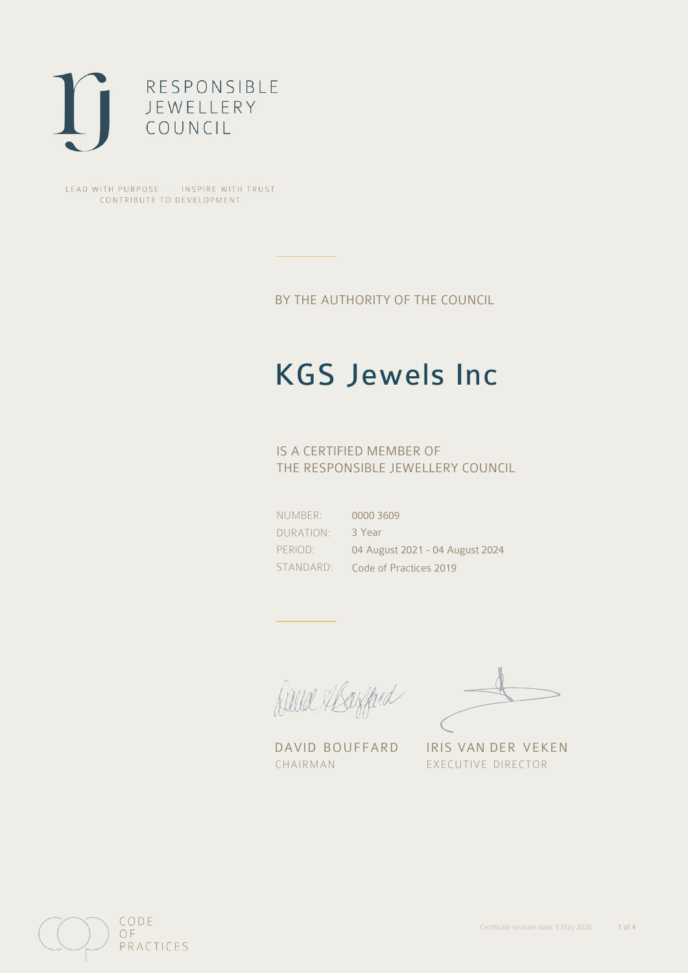

LEAD WITH PURPOSE . INSPIRE WITH TRUST CONTRIBUTE TO DEVELOPMENT

BY THE AUTHORITY OF THE COUNCIL

# KGS Jewels Inc

## IS A CERTIFIED MEMBER OF THE RESPONSIBLE JEWELLERY COUNCIL

NUMBER: DURATION: PERIOD: STANDARD: 0000 3609 3 Year 04 August 2021 - 04 August 2024 Code of Practices 2019

Caux Margaret

DAVID BOUFFARD IRIS VAN DER VEKEN CHAIRMAN EXECUTIVE DIRECTOR

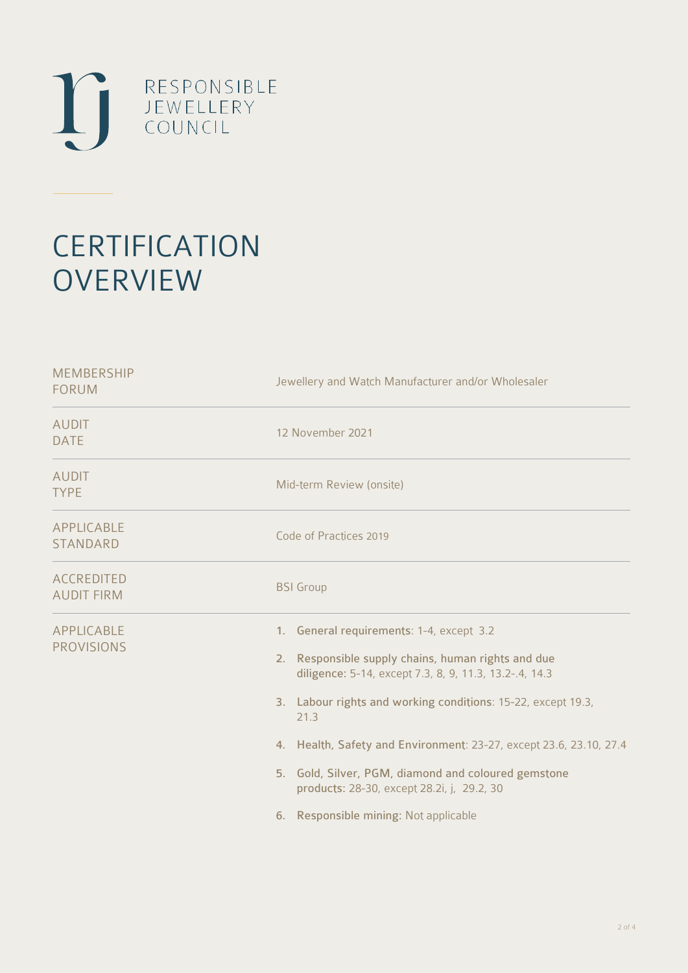

# **CERTIFICATION OVERVIEW**

| <b>MEMBERSHIP</b><br><b>FORUM</b>      | Jewellery and Watch Manufacturer and/or Wholesaler                                                                                                                                                                                                                                                                                                                                                                                                   |
|----------------------------------------|------------------------------------------------------------------------------------------------------------------------------------------------------------------------------------------------------------------------------------------------------------------------------------------------------------------------------------------------------------------------------------------------------------------------------------------------------|
| <b>AUDIT</b><br><b>DATE</b>            | 12 November 2021                                                                                                                                                                                                                                                                                                                                                                                                                                     |
| <b>AUDIT</b><br><b>TYPE</b>            | Mid-term Review (onsite)                                                                                                                                                                                                                                                                                                                                                                                                                             |
| APPLICABLE<br><b>STANDARD</b>          | Code of Practices 2019                                                                                                                                                                                                                                                                                                                                                                                                                               |
| <b>ACCREDITED</b><br><b>AUDIT FIRM</b> | <b>BSI</b> Group                                                                                                                                                                                                                                                                                                                                                                                                                                     |
| APPLICABLE<br><b>PROVISIONS</b>        | 1. General requirements: 1-4, except 3.2<br>2. Responsible supply chains, human rights and due<br>diligence: 5-14, except 7.3, 8, 9, 11.3, 13.2-.4, 14.3<br>3. Labour rights and working conditions: 15-22, except 19.3,<br>21.3<br>4. Health, Safety and Environment: 23-27, except 23.6, 23.10, 27.4<br>5. Gold, Silver, PGM, diamond and coloured gemstone<br>products: 28-30, except 28.2i, j, 29.2, 30<br>6. Responsible mining: Not applicable |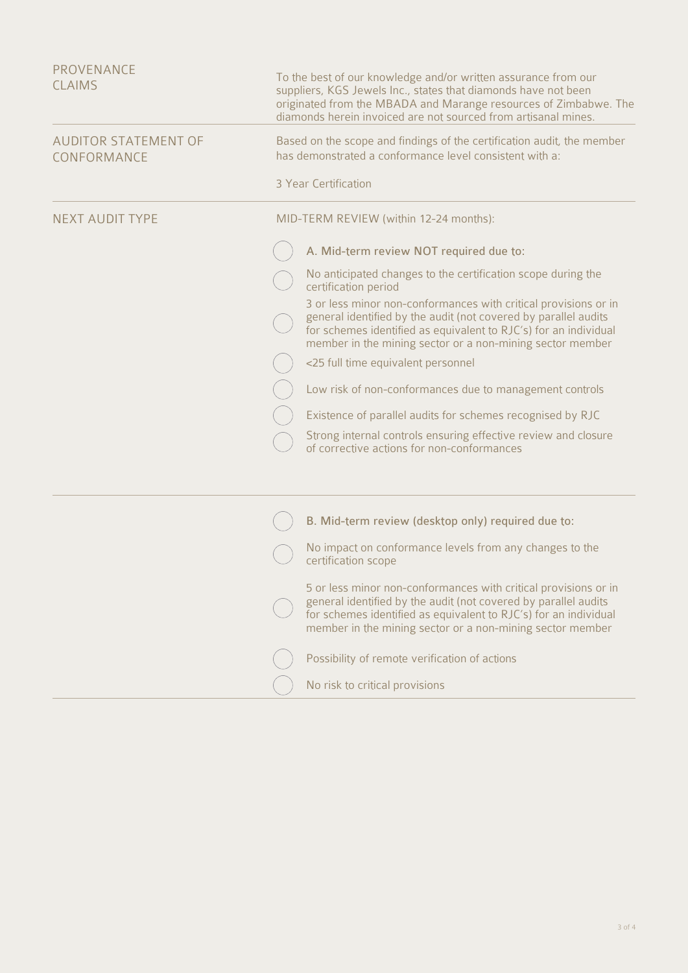| <b>PROVENANCE</b><br><b>CLAIMS</b>         | To the best of our knowledge and/or written assurance from our<br>suppliers, KGS Jewels Inc., states that diamonds have not been<br>originated from the MBADA and Marange resources of Zimbabwe. The<br>diamonds herein invoiced are not sourced from artisanal mines. |
|--------------------------------------------|------------------------------------------------------------------------------------------------------------------------------------------------------------------------------------------------------------------------------------------------------------------------|
| <b>AUDITOR STATEMENT OF</b><br>CONFORMANCE | Based on the scope and findings of the certification audit, the member<br>has demonstrated a conformance level consistent with a:                                                                                                                                      |
|                                            | 3 Year Certification                                                                                                                                                                                                                                                   |
| <b>NEXT AUDIT TYPE</b>                     | MID-TERM REVIEW (within 12-24 months):                                                                                                                                                                                                                                 |
|                                            | A. Mid-term review NOT required due to:                                                                                                                                                                                                                                |
|                                            | No anticipated changes to the certification scope during the<br>certification period                                                                                                                                                                                   |
|                                            | 3 or less minor non-conformances with critical provisions or in<br>general identified by the audit (not covered by parallel audits<br>for schemes identified as equivalent to RJC's) for an individual<br>member in the mining sector or a non-mining sector member    |
|                                            | <25 full time equivalent personnel                                                                                                                                                                                                                                     |
|                                            | Low risk of non-conformances due to management controls                                                                                                                                                                                                                |
|                                            | Existence of parallel audits for schemes recognised by RJC                                                                                                                                                                                                             |
|                                            | Strong internal controls ensuring effective review and closure<br>of corrective actions for non-conformances                                                                                                                                                           |
|                                            |                                                                                                                                                                                                                                                                        |
|                                            | B. Mid-term review (desktop only) required due to:                                                                                                                                                                                                                     |
|                                            | No impact on conformance levels from any changes to the<br>certification scope                                                                                                                                                                                         |
|                                            | 5 or less minor non-conformances with critical provisions or in<br>general identified by the audit (not covered by parallel audits<br>for schemes identified as equivalent to RJC's) for an individual<br>member in the mining sector or a non-mining sector member    |
|                                            | Possibility of remote verification of actions                                                                                                                                                                                                                          |
|                                            | No risk to critical provisions                                                                                                                                                                                                                                         |